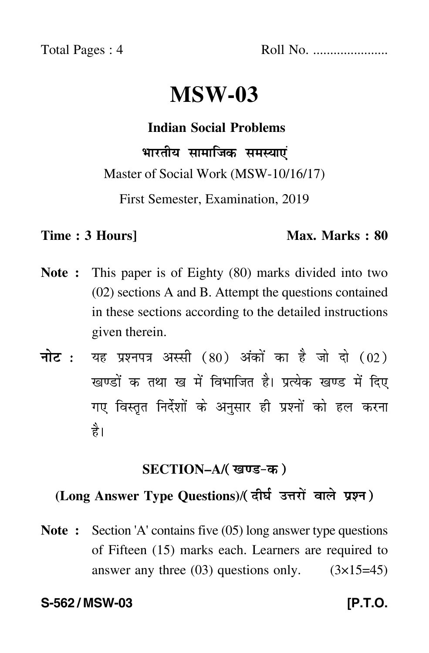Total Pages : 4 Roll No. ......................

# **MSW-03**

**Indian Social Problems**

भारतीय सामाजिक समस्याएं Master of Social Work (MSW-10/16/17)

First Semester, Examination, 2019

#### **Time : 3 Hours]** Max. Marks : 80

- **Note :** This paper is of Eighty (80) marks divided into two (02) sections A and B. Attempt the questions contained in these sections according to the detailed instructions given therein.
- नोट : यह प्रश्नपत्र अस्सी (80) अंकों का है जो दो (02) खण्डों क तथा ख में विभाजित है। प्रत्येक खण्ड में दिए गए विस्तृत निर्देशों के अनुसार ही प्रश्नों को हल करन<mark>ा</mark> है।

# <u>SECTION–A/( खण्ड-क</u> )

# (Long Answer Type Questions)/( दीर्घ उत्तरों वाले प्रश्न )

**Note :** Section 'A' contains five (05) long answer type questions of Fifteen (15) marks each. Learners are required to answer any three  $(03)$  questions only.  $(3\times15=45)$ 

#### **S-562 / MSW-03 [P.T.O.**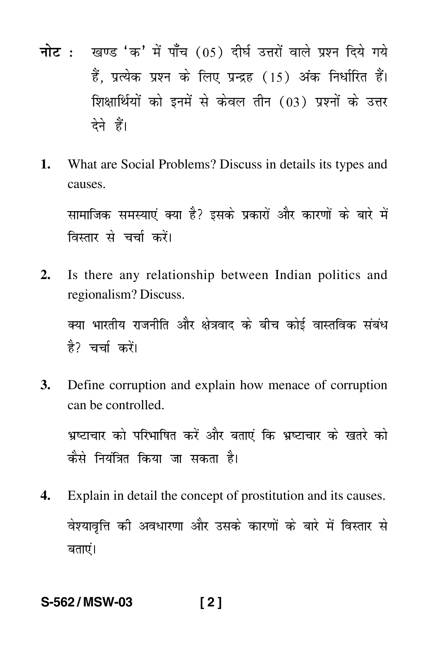- <mark>नोट</mark> : खण्ड 'क' में पाँच (05) दीर्घ उत्तरों वाले प्रश्न दिये गये हैं, प्रत्येक प्रश्न के लिए प्रन्द्रह (15) अंक निर्धारित हैं। शिक्षार्थियों को इनमें से केवल तीन (03) प्रश्नों के उत्तर देने हैं।
- **1.** What are Social Problems? Discuss in details its types and causes.

सामाजिक समस्याएं क्या है? इसके प्रकारों और कारणों के बारे में  $\mathfrak{f}$ विस्तार से चर्चा करें।

**2.** Is there any relationship between Indian politics and regionalism? Discuss.

क्या भारतीय राजनीति और क्षेत्रवाद के बीच कोई वास्तविक संबंध -है? चर्चा करें।

**3.** Define corruption and explain how menace of corruption can be controlled.

भ्रष्टाचार को परिभाषित करें और बताएं कि भ्रष्टाचार के खतरे को -कैसे नियंत्रित किया जा सकता है।

**4.** Explain in detail the concept of prostitution and its causes. वेश्यावृत्ति की अवधारणा और उसके कारणों के बारे में विस्तार से -Ì बताएं।

## **S-562 / MSW-03 [ 2 ]**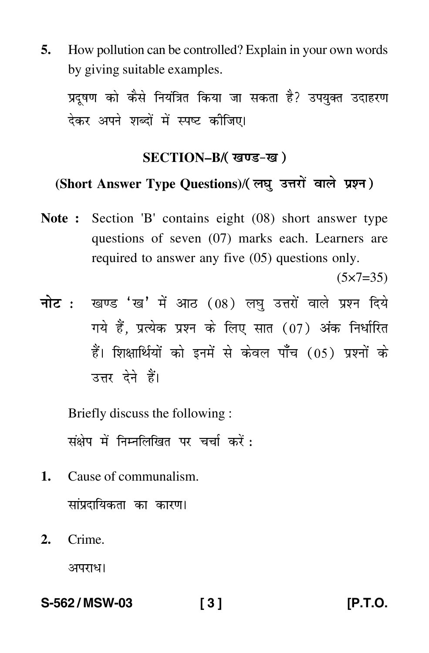**5.** How pollution can be controlled? Explain in your own words by giving suitable examples.

प्रदूषण को कैसे नियंत्रित किया जा सकता है? उपयुक्त उदाहरण देकर अपने शब्दों में स्पष्ट कीजिए।

#### SECTION–B/( खण्ड-ख )

### (Short Answer Type Questions)/(लघु उत्तरों वाले प्रश्न)

**Note :** Section 'B' contains eight (08) short answer type questions of seven (07) marks each. Learners are required to answer any five (05) questions only.

 $(5 \times 7 = 35)$ 

<mark>नोट</mark> : खण्ड 'ख' में आठ (08) लघु उत्तरों वाले प्रश्न दिये गये हैं, प्रत्येक प्रश्न के लिए सात (07) अंक निर्धारित हैं। शिक्षार्थियों को इनमें से केवल पाँच (05) प्रश्नों के उत्तर देने हैं।

Briefly discuss the following :

संक्षेप में निम्नलिखित पर चर्चा करें :

**1.** Cause of communalism.

सांप्रदायिकता का कारण।

**2.** Crime.

अपराध।

**S-562 / MSW-03 [ 3 ] [P.T.O.**